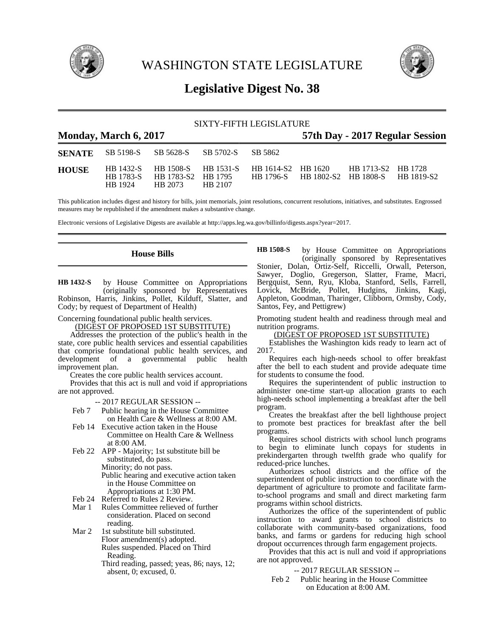

WASHINGTON STATE LEGISLATURE



# **Legislative Digest No. 38**

## SIXTY-FIFTH LEGISLATURE

| <b>Monday, March 6, 2017</b> |                      |                                             |         |                                                  | 57th Day - 2017 Regular Session |                                                                 |  |  |
|------------------------------|----------------------|---------------------------------------------|---------|--------------------------------------------------|---------------------------------|-----------------------------------------------------------------|--|--|
|                              |                      | <b>SENATE</b> SB 5198-S SB 5628-S SB 5702-S |         | - SB 5862                                        |                                 |                                                                 |  |  |
| <b>HOUSE</b>                 | HB 1783-S<br>HR 1924 | HB 1783-S2 HB 1795<br>HB 2073               | HB 2107 | HB 1432-S HB 1508-S HB 1531-S HB 1614-S2 HB 1620 |                                 | HB 1713-S2 HB 1728<br>HB 1796-S HB 1802-S2 HB 1808-S HB 1819-S2 |  |  |

This publication includes digest and history for bills, joint memorials, joint resolutions, concurrent resolutions, initiatives, and substitutes. Engrossed measures may be republished if the amendment makes a substantive change.

Electronic versions of Legislative Digests are available at http://apps.leg.wa.gov/billinfo/digests.aspx?year=2017.

## **House Bills**

by House Committee on Appropriations (originally sponsored by Representatives Robinson, Harris, Jinkins, Pollet, Kilduff, Slatter, and Cody; by request of Department of Health) **HB 1432-S**

Concerning foundational public health services.

(DIGEST OF PROPOSED 1ST SUBSTITUTE)

Addresses the protection of the public's health in the state, core public health services and essential capabilities that comprise foundational public health services, and development of a governmental public health improvement plan.

Creates the core public health services account.

Provides that this act is null and void if appropriations are not approved.

-- 2017 REGULAR SESSION --

- Feb 7 Public hearing in the House Committee on Health Care & Wellness at 8:00 AM.
- Feb 14 Executive action taken in the House Committee on Health Care & Wellness at 8:00 AM.
- Feb 22 APP Majority; 1st substitute bill be substituted, do pass. Minority; do not pass. Public hearing and executive action taken in the House Committee on Appropriations at 1:30 PM.
- Feb 24 Referred to Rules 2 Review.
- Mar 1 Rules Committee relieved of further consideration. Placed on second reading.
- Mar 2 1st substitute bill substituted. Floor amendment(s) adopted. Rules suspended. Placed on Third Reading.
	- Third reading, passed; yeas, 86; nays, 12; absent, 0; excused, 0.

by House Committee on Appropriations (originally sponsored by Representatives Stonier, Dolan, Ortiz-Self, Riccelli, Orwall, Peterson, Sawyer, Doglio, Gregerson, Slatter, Frame, Macri, Bergquist, Senn, Ryu, Kloba, Stanford, Sells, Farrell, Lovick, McBride, Pollet, Hudgins, Jinkins, Kagi, Appleton, Goodman, Tharinger, Clibborn, Ormsby, Cody, Santos, Fey, and Pettigrew) **HB 1508-S**

Promoting student health and readiness through meal and nutrition programs.

#### (DIGEST OF PROPOSED 1ST SUBSTITUTE)

Establishes the Washington kids ready to learn act of 2017.

Requires each high-needs school to offer breakfast after the bell to each student and provide adequate time for students to consume the food.

Requires the superintendent of public instruction to administer one-time start-up allocation grants to each high-needs school implementing a breakfast after the bell program.

Creates the breakfast after the bell lighthouse project to promote best practices for breakfast after the bell programs.

Requires school districts with school lunch programs to begin to eliminate lunch copays for students in prekindergarten through twelfth grade who qualify for reduced-price lunches.

Authorizes school districts and the office of the superintendent of public instruction to coordinate with the department of agriculture to promote and facilitate farmto-school programs and small and direct marketing farm programs within school districts.

Authorizes the office of the superintendent of public instruction to award grants to school districts to collaborate with community-based organizations, food banks, and farms or gardens for reducing high school dropout occurrences through farm engagement projects.

Provides that this act is null and void if appropriations are not approved.

### -- 2017 REGULAR SESSION --

Feb 2 Public hearing in the House Committee on Education at 8:00 AM.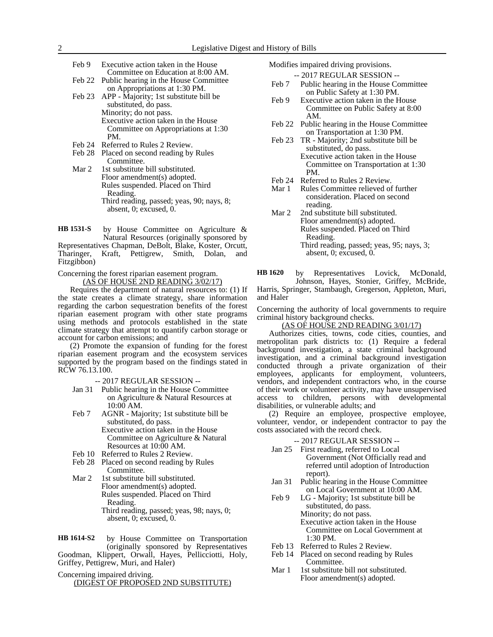- Feb 9 Executive action taken in the House Committee on Education at 8:00 AM.
- Feb 22 Public hearing in the House Committee on Appropriations at 1:30 PM. Feb 23 APP - Majority; 1st substitute bill be substituted, do pass. Minority; do not pass.
	- Executive action taken in the House PM.
- Feb 24 Referred to Rules 2 Review.
- Feb 28 Placed on second reading by Rules Committee.
- Mar 2 1st substitute bill substituted. Floor amendment(s) adopted. Rules suspended. Placed on Third Reading. Third reading, passed; yeas, 90; nays, 8; absent, 0; excused, 0.

by House Committee on Agriculture & Natural Resources (originally sponsored by Representatives Chapman, DeBolt, Blake, Koster, Orcutt, Tharinger, Kraft, Pettigrew, Smith, Dolan, and Fitzgibbon) **HB 1531-S**

Concerning the forest riparian easement program. (AS OF HOUSE 2ND READING 3/02/17)

Requires the department of natural resources to: (1) If the state creates a climate strategy, share information regarding the carbon sequestration benefits of the forest riparian easement program with other state programs using methods and protocols established in the state climate strategy that attempt to quantify carbon storage or account for carbon emissions; and

(2) Promote the expansion of funding for the forest riparian easement program and the ecosystem services supported by the program based on the findings stated in RCW 76.13.100.

- -- 2017 REGULAR SESSION --
- Jan 31 Public hearing in the House Committee on Agriculture & Natural Resources at 10:00 AM.
- Feb 7 AGNR Majority; 1st substitute bill be substituted, do pass. Executive action taken in the House Committee on Agriculture & Natural
- Resources at 10:00 AM.
- Feb 10 Referred to Rules 2 Review. Feb 28 Placed on second reading by Rules
- Committee. Mar 2 1st substitute bill substituted. Floor amendment(s) adopted. Rules suspended. Placed on Third Reading. Third reading, passed; yeas, 98; nays, 0; absent, 0; excused, 0.

by House Committee on Transportation (originally sponsored by Representatives Goodman, Klippert, Orwall, Hayes, Pellicciotti, Holy, Griffey, Pettigrew, Muri, and Haler) **HB 1614-S2**

Concerning impaired driving.

(DIGEST OF PROPOSED 2ND SUBSTITUTE)

Modifies impaired driving provisions.

- -- 2017 REGULAR SESSION --
- Feb 7 Public hearing in the House Committee on Public Safety at 1:30 PM.
- Feb 9 Executive action taken in the House Committee on Public Safety at 8:00 AM.
- Feb 22 Public hearing in the House Committee on Transportation at 1:30 PM.
- Feb 23 TR Majority; 2nd substitute bill be substituted, do pass. Executive action taken in the House Committee on Transportation at 1:30 PM.
- Feb 24 Referred to Rules 2 Review.
- Mar 1 Rules Committee relieved of further consideration. Placed on second reading.
- Mar 2 2nd substitute bill substituted. Floor amendment(s) adopted. Rules suspended. Placed on Third Reading. Third reading, passed; yeas, 95; nays, 3; absent, 0; excused, 0.

by Representatives Lovick, McDonald, Johnson, Hayes, Stonier, Griffey, McBride, **HB 1620**

Harris, Springer, Stambaugh, Gregerson, Appleton, Muri, and Haler

Concerning the authority of local governments to require criminal history background checks.

## (AS OF HOUSE 2ND READING 3/01/17)

Authorizes cities, towns, code cities, counties, and metropolitan park districts to: (1) Require a federal background investigation, a state criminal background investigation, and a criminal background investigation conducted through a private organization of their employees, applicants for employment, volunteers, vendors, and independent contractors who, in the course of their work or volunteer activity, may have unsupervised access to children, persons with developmental disabilities, or vulnerable adults; and

(2) Require an employee, prospective employee, volunteer, vendor, or independent contractor to pay the costs associated with the record check.

### -- 2017 REGULAR SESSION --

- Jan 25 First reading, referred to Local Government (Not Officially read and referred until adoption of Introduction report).
- Jan 31 Public hearing in the House Committee on Local Government at 10:00 AM.
- Feb 9 LG Majority; 1st substitute bill be substituted, do pass. Minority; do not pass. Executive action taken in the House Committee on Local Government at 1:30 PM.
- Feb 13 Referred to Rules 2 Review.
- Feb 14 Placed on second reading by Rules Committee.
- Mar 1 1st substitute bill not substituted. Floor amendment(s) adopted.

Committee on Appropriations at 1:30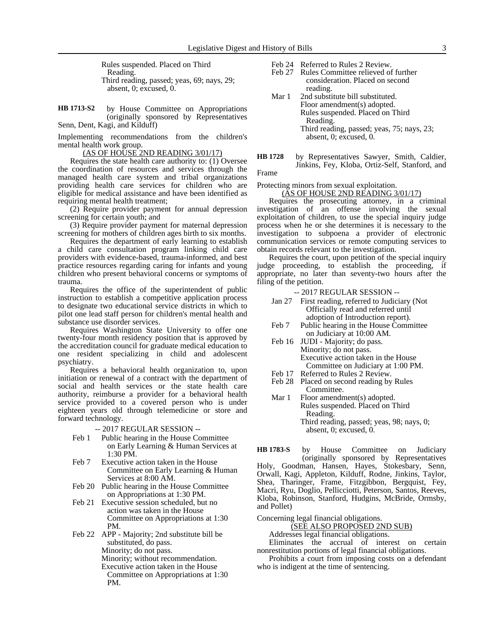Rules suspended. Placed on Third Reading. Third reading, passed; yeas, 69; nays, 29; absent, 0; excused, 0.

by House Committee on Appropriations (originally sponsored by Representatives Senn, Dent, Kagi, and Kilduff) **HB 1713-S2**

Implementing recommendations from the children's mental health work group.

(AS OF HOUSE 2ND READING 3/01/17)

Requires the state health care authority to: (1) Oversee the coordination of resources and services through the managed health care system and tribal organizations providing health care services for children who are eligible for medical assistance and have been identified as requiring mental health treatment;

(2) Require provider payment for annual depression screening for certain youth; and

(3) Require provider payment for maternal depression screening for mothers of children ages birth to six months.

Requires the department of early learning to establish a child care consultation program linking child care providers with evidence-based, trauma-informed, and best practice resources regarding caring for infants and young children who present behavioral concerns or symptoms of trauma.

Requires the office of the superintendent of public instruction to establish a competitive application process to designate two educational service districts in which to pilot one lead staff person for children's mental health and substance use disorder services.

Requires Washington State University to offer one twenty-four month residency position that is approved by the accreditation council for graduate medical education to one resident specializing in child and adolescent psychiatry.

Requires a behavioral health organization to, upon initiation or renewal of a contract with the department of social and health services or the state health care authority, reimburse a provider for a behavioral health service provided to a covered person who is under eighteen years old through telemedicine or store and forward technology.

-- 2017 REGULAR SESSION --

- Feb 1 Public hearing in the House Committee on Early Learning & Human Services at 1:30 PM.
- Feb 7 Executive action taken in the House Committee on Early Learning & Human Services at 8:00 AM.
- Feb 20 Public hearing in the House Committee on Appropriations at 1:30 PM.
- Feb 21 Executive session scheduled, but no action was taken in the House Committee on Appropriations at 1:30 PM.
- Feb 22 APP Majority; 2nd substitute bill be substituted, do pass. Minority; do not pass.

Minority; without recommendation.

Executive action taken in the House Committee on Appropriations at 1:30 PM.

- Feb 24 Referred to Rules 2 Review.
- Feb 27 Rules Committee relieved of further consideration. Placed on second reading.
- Mar 1 2nd substitute bill substituted. Floor amendment(s) adopted. Rules suspended. Placed on Third Reading. Third reading, passed; yeas, 75; nays, 23; absent, 0; excused, 0.
- by Representatives Sawyer, Smith, Caldier, Jinkins, Fey, Kloba, Ortiz-Self, Stanford, and **HB 1728**

Frame

Protecting minors from sexual exploitation.

(AS OF HOUSE 2ND READING 3/01/17)

Requires the prosecuting attorney, in a criminal investigation of an offense involving the sexual exploitation of children, to use the special inquiry judge process when he or she determines it is necessary to the investigation to subpoena a provider of electronic communication services or remote computing services to obtain records relevant to the investigation.

Requires the court, upon petition of the special inquiry judge proceeding, to establish the proceeding, if appropriate, no later than seventy-two hours after the filing of the petition.

-- 2017 REGULAR SESSION --

- Jan 27 First reading, referred to Judiciary (Not Officially read and referred until adoption of Introduction report).
- Feb 7 Public hearing in the House Committee on Judiciary at 10:00 AM.
- Feb 16 JUDI Majority; do pass. Minority; do not pass. Executive action taken in the House Committee on Judiciary at 1:00 PM.
- Feb 17 Referred to Rules 2 Review.
- Feb 28 Placed on second reading by Rules Committee.
- Mar 1 Floor amendment(s) adopted. Rules suspended. Placed on Third Reading. Third reading, passed; yeas, 98; nays, 0; absent, 0; excused, 0.

by House Committee on Judiciary (originally sponsored by Representatives Holy, Goodman, Hansen, Hayes, Stokesbary, Senn, Orwall, Kagi, Appleton, Kilduff, Rodne, Jinkins, Taylor, Shea, Tharinger, Frame, Fitzgibbon, Bergquist, Fey, Macri, Ryu, Doglio, Pellicciotti, Peterson, Santos, Reeves, Kloba, Robinson, Stanford, Hudgins, McBride, Ormsby, and Pollet) **HB 1783-S**

Concerning legal financial obligations.

(SEE ALSO PROPOSED 2ND SUB) Addresses legal financial obligations.

Eliminates the accrual of interest on certain nonrestitution portions of legal financial obligations.

Prohibits a court from imposing costs on a defendant who is indigent at the time of sentencing.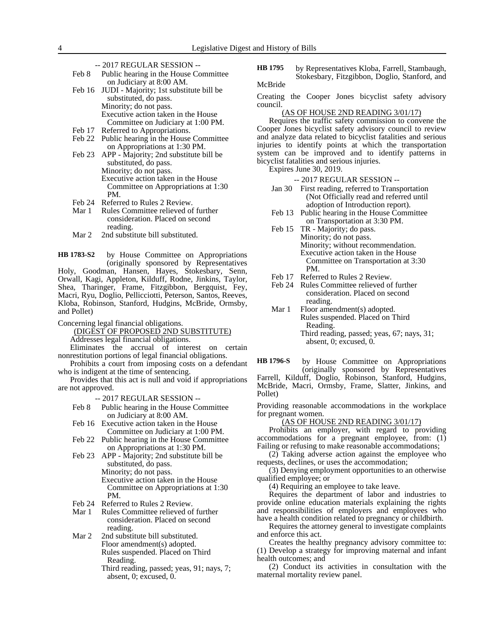- -- 2017 REGULAR SESSION --
- Feb 8 Public hearing in the House Committee on Judiciary at 8:00 AM.
- Feb 16 JUDI Majority; 1st substitute bill be substituted, do pass. Minority; do not pass. Executive action taken in the House Committee on Judiciary at 1:00 PM.
- Feb 17 Referred to Appropriations.
- Feb 22 Public hearing in the House Committee on Appropriations at 1:30 PM.
- Feb 23 APP Majority; 2nd substitute bill be substituted, do pass. Minority; do not pass. Executive action taken in the House Committee on Appropriations at 1:30 PM.
- Feb 24 Referred to Rules 2 Review.<br>Mar 1 Rules Committee relieved of
- Rules Committee relieved of further consideration. Placed on second reading.
- Mar 2 2nd substitute bill substituted.

by House Committee on Appropriations (originally sponsored by Representatives Holy, Goodman, Hansen, Hayes, Stokesbary, Senn, Orwall, Kagi, Appleton, Kilduff, Rodne, Jinkins, Taylor, Shea, Tharinger, Frame, Fitzgibbon, Bergquist, Fey, Macri, Ryu, Doglio, Pellicciotti, Peterson, Santos, Reeves, Kloba, Robinson, Stanford, Hudgins, McBride, Ormsby, and Pollet) **HB 1783-S2**

Concerning legal financial obligations.

(DIGEST OF PROPOSED 2ND SUBSTITUTE)

Addresses legal financial obligations.

Eliminates the accrual of interest on certain nonrestitution portions of legal financial obligations.

Prohibits a court from imposing costs on a defendant who is indigent at the time of sentencing.

Provides that this act is null and void if appropriations are not approved.

-- 2017 REGULAR SESSION --

- Feb 8 Public hearing in the House Committee on Judiciary at 8:00 AM.
- Feb 16 Executive action taken in the House Committee on Judiciary at 1:00 PM.
- Feb 22 Public hearing in the House Committee on Appropriations at 1:30 PM.
- Feb 23 APP Majority; 2nd substitute bill be substituted, do pass.

Minority; do not pass.

Executive action taken in the House Committee on Appropriations at 1:30 PM.

- Feb 24 Referred to Rules 2 Review.<br>Mar 1 Rules Committee relieved of
- Rules Committee relieved of further consideration. Placed on second reading.
- Mar 2 2nd substitute bill substituted. Floor amendment(s) adopted. Rules suspended. Placed on Third Reading.
	- Third reading, passed; yeas, 91; nays, 7; absent, 0; excused, 0.

by Representatives Kloba, Farrell, Stambaugh, Stokesbary, Fitzgibbon, Doglio, Stanford, and McBride **HB 1795**

Creating the Cooper Jones bicyclist safety advisory

council. (AS OF HOUSE 2ND READING 3/01/17)

Requires the traffic safety commission to convene the Cooper Jones bicyclist safety advisory council to review and analyze data related to bicyclist fatalities and serious injuries to identify points at which the transportation system can be improved and to identify patterns in bicyclist fatalities and serious injuries.

Expires June 30, 2019.

-- 2017 REGULAR SESSION --

- Jan 30 First reading, referred to Transportation (Not Officially read and referred until adoption of Introduction report).
- Feb 13 Public hearing in the House Committee on Transportation at 3:30 PM.
- Feb 15 TR Majority; do pass. Minority; do not pass. Minority; without recommendation. Executive action taken in the House Committee on Transportation at 3:30 PM.
- Feb 17 Referred to Rules 2 Review.
- Feb 24 Rules Committee relieved of further consideration. Placed on second reading.

Mar 1 Floor amendment(s) adopted. Rules suspended. Placed on Third Reading. Third reading, passed; yeas, 67; nays, 31; absent, 0; excused, 0.

by House Committee on Appropriations **HB 1796-S**

(originally sponsored by Representatives Farrell, Kilduff, Doglio, Robinson, Stanford, Hudgins, McBride, Macri, Ormsby, Frame, Slatter, Jinkins, and Pollet)

Providing reasonable accommodations in the workplace for pregnant women.

(AS OF HOUSE 2ND READING 3/01/17)

Prohibits an employer, with regard to providing accommodations for a pregnant employee, from: (1) Failing or refusing to make reasonable accommodations;

(2) Taking adverse action against the employee who requests, declines, or uses the accommodation;

(3) Denying employment opportunities to an otherwise qualified employee; or

(4) Requiring an employee to take leave.

Requires the department of labor and industries to provide online education materials explaining the rights and responsibilities of employers and employees who have a health condition related to pregnancy or childbirth.

Requires the attorney general to investigate complaints and enforce this act.

Creates the healthy pregnancy advisory committee to: (1) Develop a strategy for improving maternal and infant health outcomes; and

(2) Conduct its activities in consultation with the maternal mortality review panel.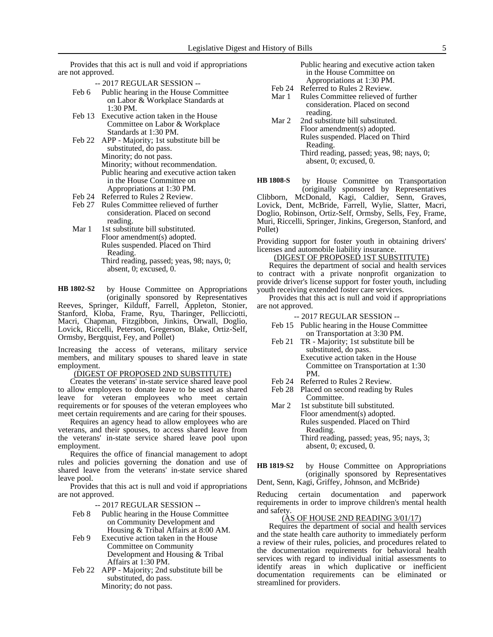Provides that this act is null and void if appropriations are not approved.

- -- 2017 REGULAR SESSION --
- Feb 6 Public hearing in the House Committee on Labor & Workplace Standards at 1:30 PM.
- Feb 13 Executive action taken in the House Committee on Labor & Workplace Standards at 1:30 PM.
- Feb 22 APP Majority; 1st substitute bill be substituted, do pass. Minority; do not pass. Minority; without recommendation. Public hearing and executive action taken in the House Committee on Appropriations at 1:30 PM.
- Feb 24 Referred to Rules 2 Review.
- Feb 27 Rules Committee relieved of further consideration. Placed on second reading.
- Mar 1 1st substitute bill substituted. Floor amendment(s) adopted. Rules suspended. Placed on Third Reading. Third reading, passed; yeas, 98; nays, 0; absent, 0; excused, 0.
- by House Committee on Appropriations **HB 1802-S2**

(originally sponsored by Representatives Reeves, Springer, Kilduff, Farrell, Appleton, Stonier, Stanford, Kloba, Frame, Ryu, Tharinger, Pellicciotti, Macri, Chapman, Fitzgibbon, Jinkins, Orwall, Doglio, Lovick, Riccelli, Peterson, Gregerson, Blake, Ortiz-Self, Ormsby, Bergquist, Fey, and Pollet)

Increasing the access of veterans, military service members, and military spouses to shared leave in state employment.

### (DIGEST OF PROPOSED 2ND SUBSTITUTE)

Creates the veterans' in-state service shared leave pool to allow employees to donate leave to be used as shared leave for veteran employees who meet certain requirements or for spouses of the veteran employees who meet certain requirements and are caring for their spouses.

Requires an agency head to allow employees who are veterans, and their spouses, to access shared leave from the veterans' in-state service shared leave pool upon employment.

Requires the office of financial management to adopt rules and policies governing the donation and use of shared leave from the veterans' in-state service shared leave pool.

Provides that this act is null and void if appropriations are not approved.

-- 2017 REGULAR SESSION --

- Feb 8 Public hearing in the House Committee on Community Development and Housing & Tribal Affairs at 8:00 AM.
- Feb 9 Executive action taken in the House Committee on Community Development and Housing & Tribal Affairs at 1:30 PM.
- Feb 22 APP Majority; 2nd substitute bill be substituted, do pass. Minority; do not pass.
- Public hearing and executive action taken in the House Committee on Appropriations at 1:30 PM.
- Feb 24 Referred to Rules 2 Review.
- Mar 1 Rules Committee relieved of further consideration. Placed on second reading.
- Mar 2 2nd substitute bill substituted. Floor amendment(s) adopted. Rules suspended. Placed on Third Reading. Third reading, passed; yeas, 98; nays, 0; absent, 0; excused, 0.

by House Committee on Transportation (originally sponsored by Representatives Clibborn, McDonald, Kagi, Caldier, Senn, Graves, Lovick, Dent, McBride, Farrell, Wylie, Slatter, Macri, Doglio, Robinson, Ortiz-Self, Ormsby, Sells, Fey, Frame, Muri, Riccelli, Springer, Jinkins, Gregerson, Stanford, and Pollet) **HB 1808-S**

Providing support for foster youth in obtaining drivers' licenses and automobile liability insurance.

## (DIGEST OF PROPOSED 1ST SUBSTITUTE)

Requires the department of social and health services to contract with a private nonprofit organization to provide driver's license support for foster youth, including youth receiving extended foster care services.

Provides that this act is null and void if appropriations are not approved.

-- 2017 REGULAR SESSION --

- Feb 15 Public hearing in the House Committee on Transportation at 3:30 PM.
- Feb 21 TR Majority; 1st substitute bill be substituted, do pass. Executive action taken in the House Committee on Transportation at 1:30 PM.
- Feb 24 Referred to Rules 2 Review.
- Feb 28 Placed on second reading by Rules Committee.
- Mar 2 1st substitute bill substituted. Floor amendment(s) adopted. Rules suspended. Placed on Third Reading. Third reading, passed; yeas, 95; nays, 3; absent, 0; excused, 0.
- by House Committee on Appropriations (originally sponsored by Representatives Dent, Senn, Kagi, Griffey, Johnson, and McBride) **HB 1819-S2**

Reducing certain documentation and paperwork requirements in order to improve children's mental health and safety.

## (AS OF HOUSE 2ND READING 3/01/17)

Requires the department of social and health services and the state health care authority to immediately perform a review of their rules, policies, and procedures related to the documentation requirements for behavioral health services with regard to individual initial assessments to identify areas in which duplicative or inefficient documentation requirements can be eliminated or streamlined for providers.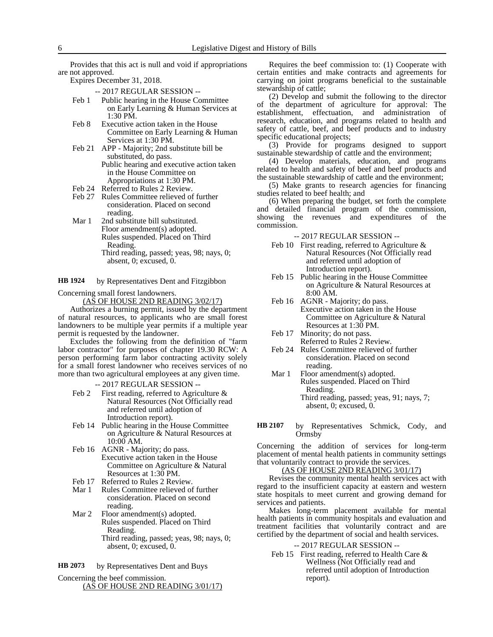Provides that this act is null and void if appropriations are not approved.

Expires December 31, 2018.

-- 2017 REGULAR SESSION --

- Feb 1 Public hearing in the House Committee on Early Learning & Human Services at 1:30 PM.
- Feb 8 Executive action taken in the House Committee on Early Learning & Human Services at 1:30 PM.
- Feb 21 APP Majority; 2nd substitute bill be substituted, do pass.
	- Public hearing and executive action taken in the House Committee on Appropriations at 1:30 PM.
- Feb 24 Referred to Rules 2 Review.
- Feb 27 Rules Committee relieved of further consideration. Placed on second reading.
- Mar 1 2nd substitute bill substituted. Floor amendment(s) adopted. Rules suspended. Placed on Third Reading. Third reading, passed; yeas, 98; nays, 0;
	- absent, 0; excused, 0.

by Representatives Dent and Fitzgibbon **HB 1924**

Concerning small forest landowners.

(AS OF HOUSE 2ND READING 3/02/17)

Authorizes a burning permit, issued by the department of natural resources, to applicants who are small forest landowners to be multiple year permits if a multiple year permit is requested by the landowner.

Excludes the following from the definition of "farm labor contractor" for purposes of chapter 19.30 RCW: A person performing farm labor contracting activity solely for a small forest landowner who receives services of no more than two agricultural employees at any given time.

-- 2017 REGULAR SESSION --

- Feb 2 First reading, referred to Agriculture  $\&$ Natural Resources (Not Officially read and referred until adoption of Introduction report).
- Feb 14 Public hearing in the House Committee on Agriculture & Natural Resources at 10:00 AM.
- Feb 16 AGNR Majority; do pass. Executive action taken in the House Committee on Agriculture & Natural Resources at 1:30 PM.
- Feb 17 Referred to Rules 2 Review.<br>Mar 1 Rules Committee relieved of
- Rules Committee relieved of further consideration. Placed on second reading.
- Mar 2 Floor amendment(s) adopted. Rules suspended. Placed on Third Reading. Third reading, passed; yeas, 98; nays, 0; absent, 0; excused, 0.

by Representatives Dent and Buys **HB 2073**

Concerning the beef commission. (AS OF HOUSE 2ND READING 3/01/17)

Requires the beef commission to: (1) Cooperate with certain entities and make contracts and agreements for carrying on joint programs beneficial to the sustainable stewardship of cattle;

(2) Develop and submit the following to the director of the department of agriculture for approval: The establishment, effectuation, and administration of research, education, and programs related to health and safety of cattle, beef, and beef products and to industry specific educational projects;

(3) Provide for programs designed to support sustainable stewardship of cattle and the environment;

(4) Develop materials, education, and programs related to health and safety of beef and beef products and the sustainable stewardship of cattle and the environment;

(5) Make grants to research agencies for financing studies related to beef health; and

(6) When preparing the budget, set forth the complete and detailed financial program of the commission, showing the revenues and expenditures of the commission.

-- 2017 REGULAR SESSION --

- Feb 10 First reading, referred to Agriculture & Natural Resources (Not Officially read and referred until adoption of Introduction report).
- Feb 15 Public hearing in the House Committee on Agriculture & Natural Resources at 8:00 AM.
- Feb 16 AGNR Majority; do pass. Executive action taken in the House Committee on Agriculture & Natural Resources at 1:30 PM.
- Feb 17 Minority; do not pass. Referred to Rules 2 Review.
- Feb 24 Rules Committee relieved of further consideration. Placed on second reading.
- Mar 1 Floor amendment(s) adopted. Rules suspended. Placed on Third Reading. Third reading, passed; yeas, 91; nays, 7; absent, 0; excused, 0.
- by Representatives Schmick, Cody, and Ormsby **HB 2107**

Concerning the addition of services for long-term placement of mental health patients in community settings that voluntarily contract to provide the services.

(AS OF HOUSE 2ND READING 3/01/17)

Revises the community mental health services act with regard to the insufficient capacity at eastern and western state hospitals to meet current and growing demand for services and patients.

Makes long-term placement available for mental health patients in community hospitals and evaluation and treatment facilities that voluntarily contract and are certified by the department of social and health services.

### -- 2017 REGULAR SESSION --

Feb 15 First reading, referred to Health Care & Wellness (Not Officially read and referred until adoption of Introduction report).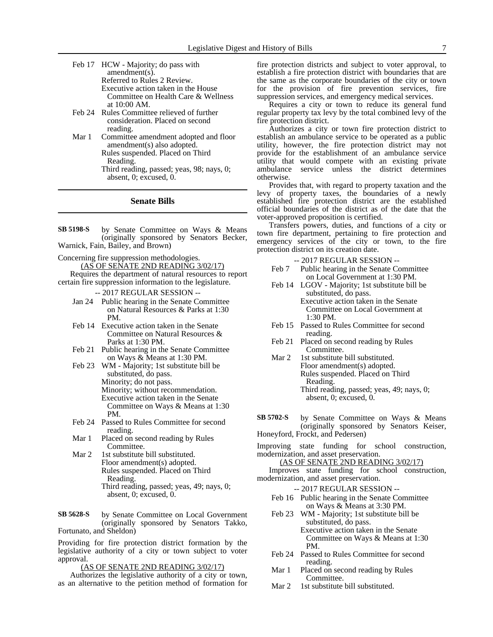- Feb 17 HCW Majority; do pass with amendment(s). Referred to Rules 2 Review. Executive action taken in the House Committee on Health Care & Wellness at 10:00 AM. Feb 24 Rules Committee relieved of further
- consideration. Placed on second reading.
- Mar 1 Committee amendment adopted and floor amendment(s) also adopted. Rules suspended. Placed on Third Reading. Third reading, passed; yeas, 98; nays, 0; absent, 0; excused, 0.

#### **Senate Bills**

by Senate Committee on Ways & Means (originally sponsored by Senators Becker, Warnick, Fain, Bailey, and Brown) **SB 5198-S**

Concerning fire suppression methodologies. (AS OF SENATE 2ND READING 3/02/17)

Requires the department of natural resources to report certain fire suppression information to the legislature.

-- 2017 REGULAR SESSION --

- Jan 24 Public hearing in the Senate Committee on Natural Resources & Parks at 1:30 PM.
- Feb 14 Executive action taken in the Senate Committee on Natural Resources & Parks at 1:30 PM.
- Feb 21 Public hearing in the Senate Committee on Ways & Means at 1:30 PM.
- Feb 23 WM Majority; 1st substitute bill be substituted, do pass. Minority; do not pass. Minority; without recommendation. Executive action taken in the Senate Committee on Ways & Means at 1:30 PM.
- Feb 24 Passed to Rules Committee for second reading.
- Mar 1 Placed on second reading by Rules Committee.
- Mar 2 1st substitute bill substituted. Floor amendment(s) adopted. Rules suspended. Placed on Third Reading. Third reading, passed; yeas, 49; nays, 0; absent, 0; excused, 0.

by Senate Committee on Local Government (originally sponsored by Senators Takko, Fortunato, and Sheldon) **SB 5628-S**

Providing for fire protection district formation by the legislative authority of a city or town subject to voter approval.

(AS OF SENATE 2ND READING 3/02/17)

Authorizes the legislative authority of a city or town, as an alternative to the petition method of formation for fire protection districts and subject to voter approval, to establish a fire protection district with boundaries that are the same as the corporate boundaries of the city or town for the provision of fire prevention services, fire suppression services, and emergency medical services.

Requires a city or town to reduce its general fund regular property tax levy by the total combined levy of the fire protection district.

Authorizes a city or town fire protection district to establish an ambulance service to be operated as a public utility, however, the fire protection district may not provide for the establishment of an ambulance service utility that would compete with an existing private ambulance service unless the district determines otherwise.

Provides that, with regard to property taxation and the levy of property taxes, the boundaries of a newly established fire protection district are the established official boundaries of the district as of the date that the voter-approved proposition is certified.

Transfers powers, duties, and functions of a city or town fire department, pertaining to fire protection and emergency services of the city or town, to the fire protection district on its creation date.

-- 2017 REGULAR SESSION --

- Feb 7 Public hearing in the Senate Committee on Local Government at 1:30 PM.
- Feb 14 LGOV Majority; 1st substitute bill be substituted, do pass. Executive action taken in the Senate

Committee on Local Government at 1:30 PM.

- Feb 15 Passed to Rules Committee for second reading.
- Feb 21 Placed on second reading by Rules Committee.
- Mar 2 1st substitute bill substituted. Floor amendment(s) adopted. Rules suspended. Placed on Third Reading. Third reading, passed; yeas, 49; nays, 0; absent, 0; excused, 0.
- by Senate Committee on Ways & Means (originally sponsored by Senators Keiser, Honeyford, Frockt, and Pedersen) **SB 5702-S**
- Improving state funding for school construction, modernization, and asset preservation.

(AS OF SENATE 2ND READING 3/02/17)

Improves state funding for school construction, modernization, and asset preservation.

-- 2017 REGULAR SESSION --

- Feb 16 Public hearing in the Senate Committee on Ways & Means at 3:30 PM.
- Feb 23 WM Majority; 1st substitute bill be substituted, do pass. Executive action taken in the Senate Committee on Ways & Means at 1:30 PM.
- Feb 24 Passed to Rules Committee for second reading.
- Mar 1 Placed on second reading by Rules Committee.
- Mar 2 1st substitute bill substituted.